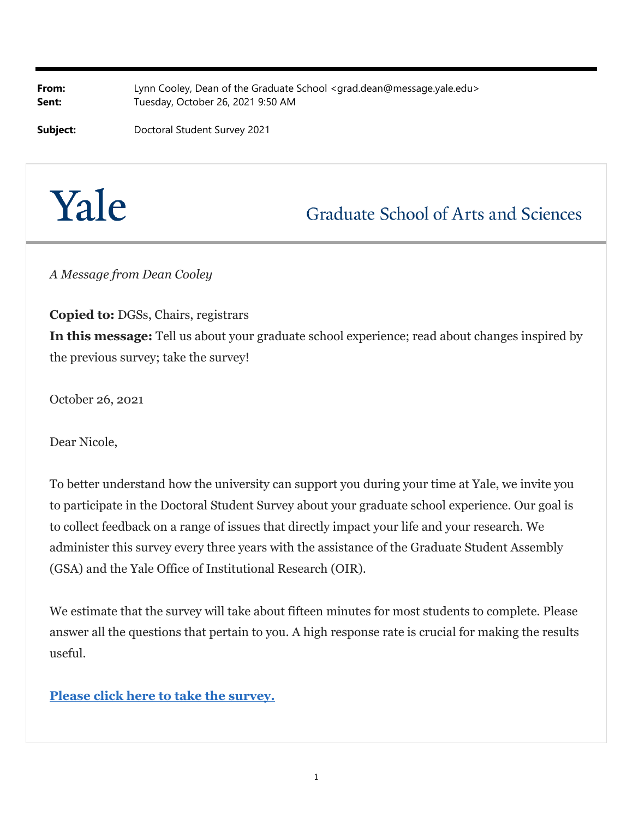**From:** Lynn Cooley, Dean of the Graduate School <grad.dean@message.yale.edu> **Sent:** Tuesday, October 26, 2021 9:50 AM

**Subject:** Doctoral Student Survey 2021

## Yale

## **Graduate School of Arts and Sciences**

*A Message from Dean Cooley*

**Copied to:** DGSs, Chairs, registrars **In this message:** Tell us about your graduate school experience; read about changes inspired by the previous survey; take the survey!

October 26, 2021

Dear Nicole,

To better understand how the university can support you during your time at Yale, we invite you to participate in the Doctoral Student Survey about your graduate school experience. Our goal is to collect feedback on a range of issues that directly impact your life and your research. We administer this survey every three years with the assistance of the Graduate Student Assembly (GSA) and the Yale Office of Institutional Research (OIR).

We estimate that the survey will take about fifteen minutes for most students to complete. Please answer all the questions that pertain to you. A high response rate is crucial for making the results useful.

## **Please click here to take the survey.**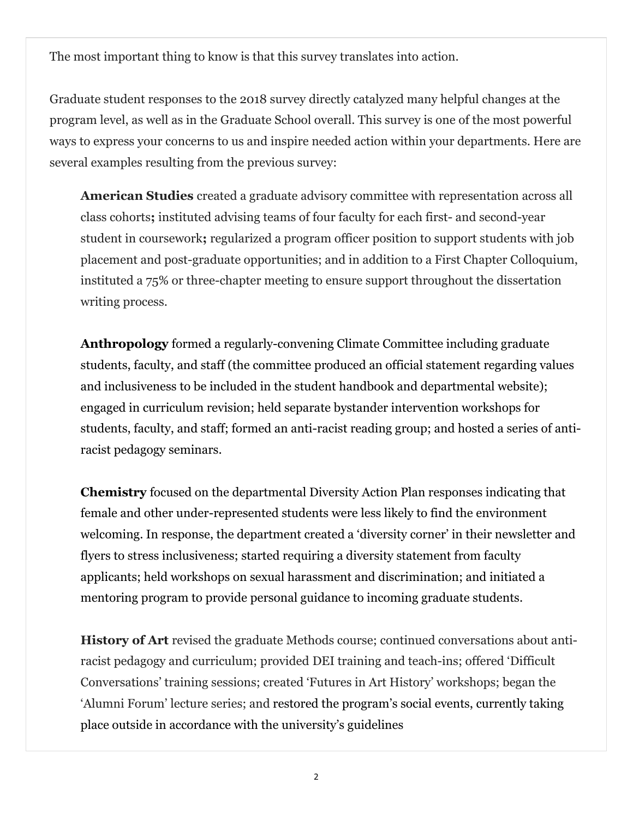The most important thing to know is that this survey translates into action.

Graduate student responses to the 2018 survey directly catalyzed many helpful changes at the program level, as well as in the Graduate School overall. This survey is one of the most powerful ways to express your concerns to us and inspire needed action within your departments. Here are several examples resulting from the previous survey:

**American Studies** created a graduate advisory committee with representation across all class cohorts**;** instituted advising teams of four faculty for each first- and second-year student in coursework**;** regularized a program officer position to support students with job placement and post-graduate opportunities; and in addition to a First Chapter Colloquium, instituted a 75% or three-chapter meeting to ensure support throughout the dissertation writing process.

**Anthropology** formed a regularly-convening Climate Committee including graduate students, faculty, and staff (the committee produced an official statement regarding values and inclusiveness to be included in the student handbook and departmental website); engaged in curriculum revision; held separate bystander intervention workshops for students, faculty, and staff; formed an anti-racist reading group; and hosted a series of antiracist pedagogy seminars.

**Chemistry** focused on the departmental Diversity Action Plan responses indicating that female and other under-represented students were less likely to find the environment welcoming. In response, the department created a 'diversity corner' in their newsletter and flyers to stress inclusiveness; started requiring a diversity statement from faculty applicants; held workshops on sexual harassment and discrimination; and initiated a mentoring program to provide personal guidance to incoming graduate students.

**History of Art** revised the graduate Methods course; continued conversations about antiracist pedagogy and curriculum; provided DEI training and teach-ins; offered 'Difficult Conversations' training sessions; created 'Futures in Art History' workshops; began the 'Alumni Forum' lecture series; and restored the program's social events, currently taking place outside in accordance with the university's guidelines

2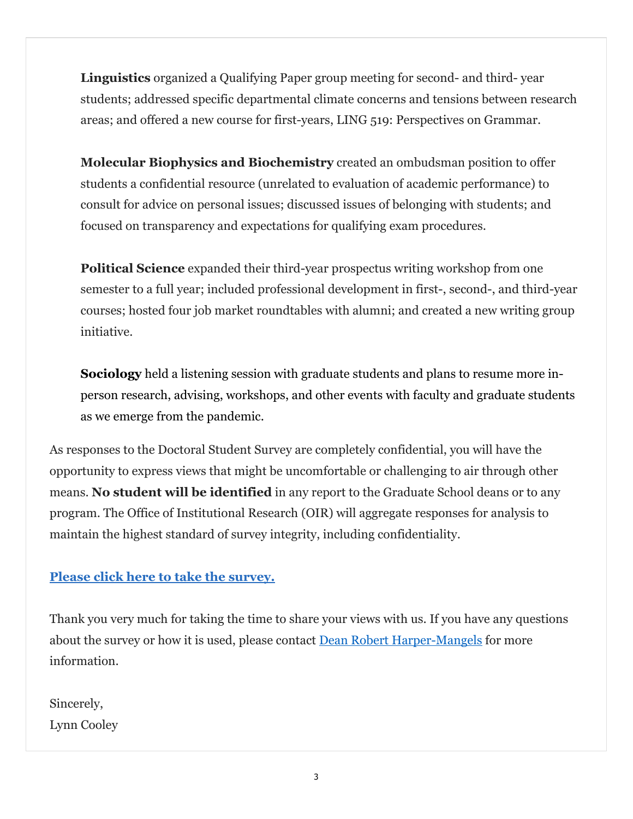**Linguistics** organized a Qualifying Paper group meeting for second- and third- year students; addressed specific departmental climate concerns and tensions between research areas; and offered a new course for first-years, LING 519: Perspectives on Grammar.

**Molecular Biophysics and Biochemistry** created an ombudsman position to offer students a confidential resource (unrelated to evaluation of academic performance) to consult for advice on personal issues; discussed issues of belonging with students; and focused on transparency and expectations for qualifying exam procedures.

**Political Science** expanded their third-year prospectus writing workshop from one semester to a full year; included professional development in first-, second-, and third-year courses; hosted four job market roundtables with alumni; and created a new writing group initiative.

**Sociology** held a listening session with graduate students and plans to resume more inperson research, advising, workshops, and other events with faculty and graduate students as we emerge from the pandemic.

As responses to the Doctoral Student Survey are completely confidential, you will have the opportunity to express views that might be uncomfortable or challenging to air through other means. **No student will be identified** in any report to the Graduate School deans or to any program. The Office of Institutional Research (OIR) will aggregate responses for analysis to maintain the highest standard of survey integrity, including confidentiality.

## **Please click here to take the survey.**

Thank you very much for taking the time to share your views with us. If you have any questions about the survey or how it is used, please contact **Dean Robert Harper-Mangels** for more information.

Sincerely, Lynn Cooley